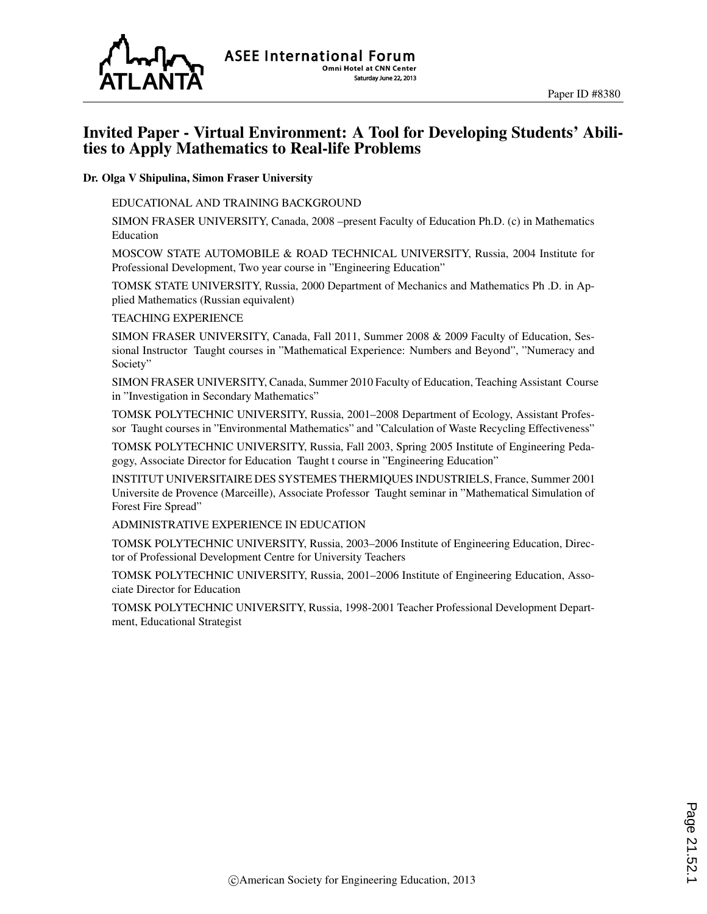

## Invited Paper - Virtual Environment: A Tool for Developing Students' Abilities to Apply Mathematics to Real-life Problems

#### Dr. Olga V Shipulina, Simon Fraser University

#### EDUCATIONAL AND TRAINING BACKGROUND

SIMON FRASER UNIVERSITY, Canada, 2008 –present Faculty of Education Ph.D. (c) in Mathematics Education

MOSCOW STATE AUTOMOBILE & ROAD TECHNICAL UNIVERSITY, Russia, 2004 Institute for Professional Development, Two year course in "Engineering Education"

TOMSK STATE UNIVERSITY, Russia, 2000 Department of Mechanics and Mathematics Ph .D. in Applied Mathematics (Russian equivalent)

#### TEACHING EXPERIENCE

SIMON FRASER UNIVERSITY, Canada, Fall 2011, Summer 2008 & 2009 Faculty of Education, Sessional Instructor Taught courses in "Mathematical Experience: Numbers and Beyond", "Numeracy and Society"

SIMON FRASER UNIVERSITY, Canada, Summer 2010 Faculty of Education, Teaching Assistant Course in "Investigation in Secondary Mathematics"

TOMSK POLYTECHNIC UNIVERSITY, Russia, 2001–2008 Department of Ecology, Assistant Professor Taught courses in "Environmental Mathematics" and "Calculation of Waste Recycling Effectiveness"

TOMSK POLYTECHNIC UNIVERSITY, Russia, Fall 2003, Spring 2005 Institute of Engineering Pedagogy, Associate Director for Education Taught t course in "Engineering Education"

INSTITUT UNIVERSITAIRE DES SYSTEMES THERMIQUES INDUSTRIELS, France, Summer 2001 Universite de Provence (Marceille), Associate Professor Taught seminar in "Mathematical Simulation of Forest Fire Spread"

ADMINISTRATIVE EXPERIENCE IN EDUCATION

TOMSK POLYTECHNIC UNIVERSITY, Russia, 2003–2006 Institute of Engineering Education, Director of Professional Development Centre for University Teachers

TOMSK POLYTECHNIC UNIVERSITY, Russia, 2001–2006 Institute of Engineering Education, Associate Director for Education

TOMSK POLYTECHNIC UNIVERSITY, Russia, 1998-2001 Teacher Professional Development Department, Educational Strategist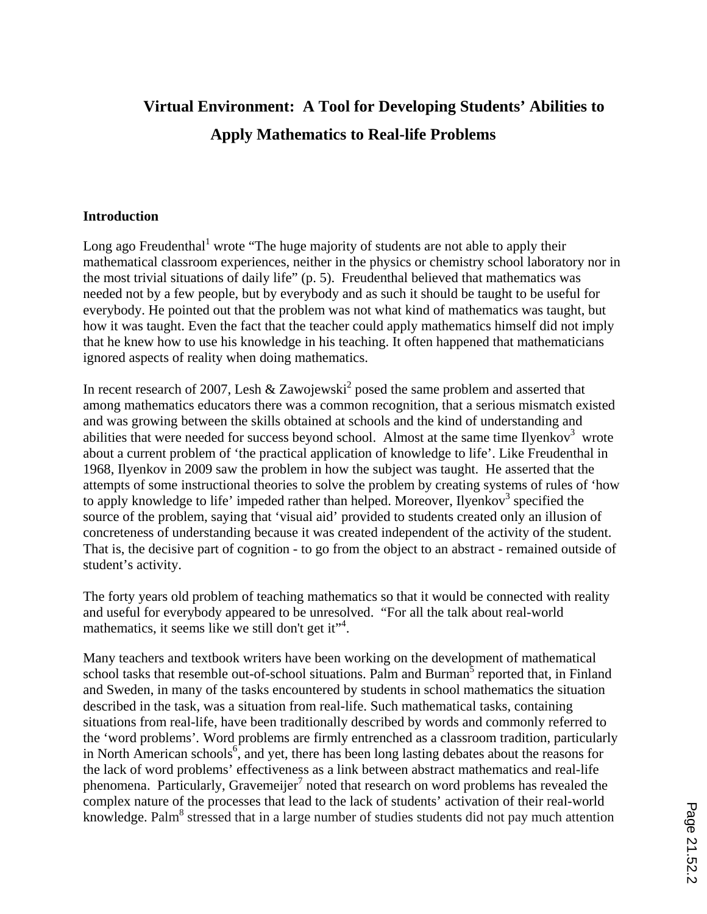# **Virtual Environment: A Tool for Developing Students' Abilities to Apply Mathematics to Real-life Problems**

#### **Introduction**

Long ago Freudenthal<sup>1</sup> wrote "The huge majority of students are not able to apply their mathematical classroom experiences, neither in the physics or chemistry school laboratory nor in the most trivial situations of daily life" (p. 5). Freudenthal believed that mathematics was needed not by a few people, but by everybody and as such it should be taught to be useful for everybody. He pointed out that the problem was not what kind of mathematics was taught, but how it was taught. Even the fact that the teacher could apply mathematics himself did not imply that he knew how to use his knowledge in his teaching. It often happened that mathematicians ignored aspects of reality when doing mathematics.

In recent research of 2007, Lesh & Zawojewski<sup>2</sup> posed the same problem and asserted that among mathematics educators there was a common recognition, that a serious mismatch existed and was growing between the skills obtained at schools and the kind of understanding and abilities that were needed for success beyond school. Almost at the same time Ilyenkov<sup>3</sup> wrote about a current problem of 'the practical application of knowledge to life'. Like Freudenthal in 1968, Ilyenkov in 2009 saw the problem in how the subject was taught. He asserted that the attempts of some instructional theories to solve the problem by creating systems of rules of 'how to apply knowledge to life' impeded rather than helped. Moreover, Ilyenkov<sup>3</sup> specified the source of the problem, saying that 'visual aid' provided to students created only an illusion of concreteness of understanding because it was created independent of the activity of the student. That is, the decisive part of cognition - to go from the object to an abstract - remained outside of student's activity.

The forty years old problem of teaching mathematics so that it would be connected with reality and useful for everybody appeared to be unresolved. "For all the talk about real-world mathematics, it seems like we still don't get it"<sup>4</sup>.

Many teachers and textbook writers have been working on the development of mathematical school tasks that resemble out-of-school situations. Palm and Burman<sup>5</sup> reported that, in Finland and Sweden, in many of the tasks encountered by students in school mathematics the situation described in the task, was a situation from real-life. Such mathematical tasks, containing situations from real-life, have been traditionally described by words and commonly referred to the 'word problems'*.* Word problems are firmly entrenched as a classroom tradition, particularly in North American schools<sup>6</sup>, and yet, there has been long lasting debates about the reasons for the lack of word problems' effectiveness as a link between abstract mathematics and real-life phenomena. Particularly, Gravemeijer<sup>7</sup> noted that research on word problems has revealed the complex nature of the processes that lead to the lack of students' activation of their real-world knowledge. Palm<sup>8</sup> stressed that in a large number of studies students did not pay much attention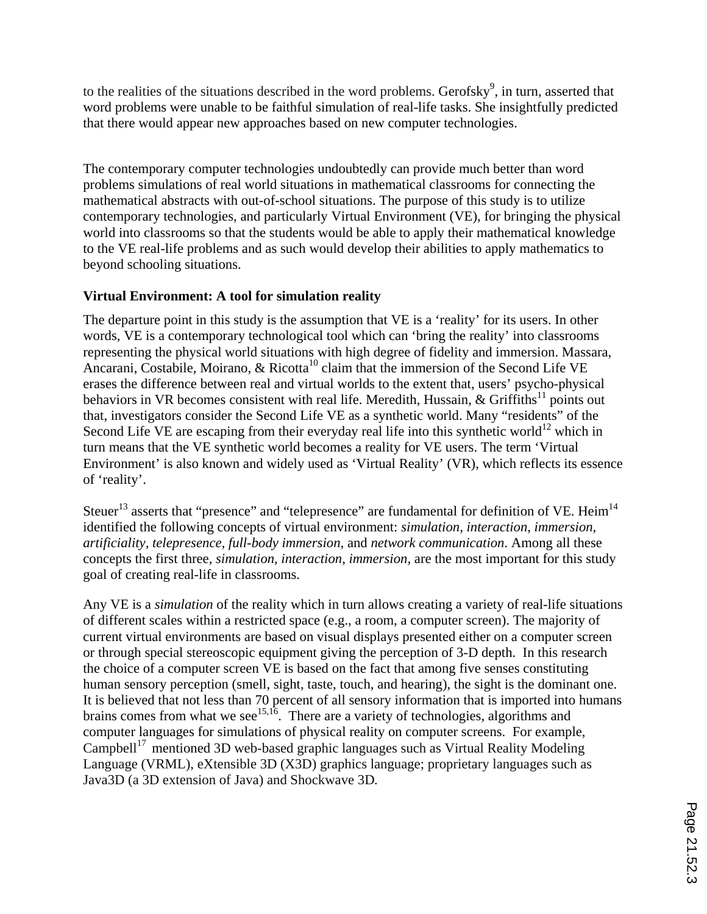to the realities of the situations described in the word problems. Gerofsky<sup>9</sup>, in turn, asserted that word problems were unable to be faithful simulation of real-life tasks. She insightfully predicted that there would appear new approaches based on new computer technologies.

The contemporary computer technologies undoubtedly can provide much better than word problems simulations of real world situations in mathematical classrooms for connecting the mathematical abstracts with out-of-school situations. The purpose of this study is to utilize contemporary technologies, and particularly Virtual Environment (VE), for bringing the physical world into classrooms so that the students would be able to apply their mathematical knowledge to the VE real-life problems and as such would develop their abilities to apply mathematics to beyond schooling situations.

## **Virtual Environment: A tool for simulation reality**

The departure point in this study is the assumption that VE is a 'reality' for its users. In other words, VE is a contemporary technological tool which can 'bring the reality' into classrooms representing the physical world situations with high degree of fidelity and immersion. Massara, Ancarani, Costabile, Moirano,  $\&$  Ricotta<sup>10</sup> claim that the immersion of the Second Life VE erases the difference between real and virtual worlds to the extent that, users' psycho-physical behaviors in VR becomes consistent with real life. Meredith, Hussain,  $\&$  Griffiths<sup>11</sup> points out that, investigators consider the Second Life VE as a synthetic world. Many "residents" of the Second Life VE are escaping from their everyday real life into this synthetic world<sup>12</sup> which in turn means that the VE synthetic world becomes a reality for VE users. The term 'Virtual Environment' is also known and widely used as 'Virtual Reality' (VR), which reflects its essence of 'reality'.

Steuer<sup>13</sup> asserts that "presence" and "telepresence" are fundamental for definition of VE. Heim<sup>14</sup> identified the following concepts of virtual environment: *simulation, interaction, immersion, artificiality, telepresence, full-body immersion,* and *network communication*. Among all these concepts the first three, *simulation, interaction, immersion,* are the most important for this study goal of creating real-life in classrooms.

Any VE is a *simulation* of the reality which in turn allows creating a variety of real-life situations of different scales within a restricted space (e.g., a room, a computer screen). The majority of current virtual environments are based on visual displays presented either on a computer screen or through special stereoscopic equipment giving the perception of 3-D depth. In this research the choice of a computer screen VE is based on the fact that among five senses constituting human sensory perception (smell, sight, taste, touch, and hearing), the sight is the dominant one. It is believed that not less than 70 percent of all sensory information that is imported into humans brains comes from what we see<sup>15,16</sup>. There are a variety of technologies, algorithms and computer languages for simulations of physical reality on computer screens. For example, Campbell<sup>17</sup> mentioned 3D web-based graphic languages such as Virtual Reality Modeling Language (VRML), eXtensible 3D (X3D) graphics language; proprietary languages such as Java3D (a 3D extension of Java) and Shockwave 3D*.*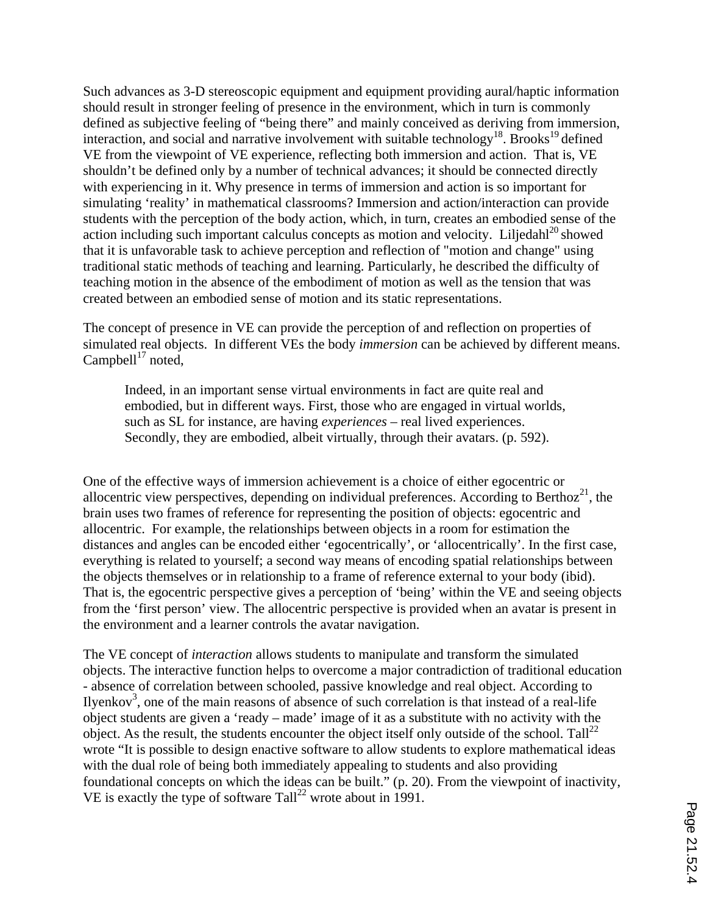Such advances as 3-D stereoscopic equipment and equipment providing aural/haptic information should result in stronger feeling of presence in the environment, which in turn is commonly defined as subjective feeling of "being there" and mainly conceived as deriving from immersion, interaction, and social and narrative involvement with suitable technology<sup>18</sup>. Brooks<sup>19</sup> defined VE from the viewpoint of VE experience, reflecting both immersion and action. That is, VE shouldn't be defined only by a number of technical advances; it should be connected directly with experiencing in it. Why presence in terms of immersion and action is so important for simulating 'reality' in mathematical classrooms? Immersion and action/interaction can provide students with the perception of the body action, which, in turn, creates an embodied sense of the action including such important calculus concepts as motion and velocity. Liljedahl $^{20}$  showed that it is unfavorable task to achieve perception and reflection of "motion and change" using traditional static methods of teaching and learning. Particularly, he described the difficulty of teaching motion in the absence of the embodiment of motion as well as the tension that was created between an embodied sense of motion and its static representations.

The concept of presence in VE can provide the perception of and reflection on properties of simulated real objects. In different VEs the body *immersion* can be achieved by different means. Campbell $1^7$  noted,

Indeed, in an important sense virtual environments in fact are quite real and embodied, but in different ways. First, those who are engaged in virtual worlds, such as SL for instance, are having *experiences* – real lived experiences. Secondly, they are embodied, albeit virtually, through their avatars. (p. 592).

One of the effective ways of immersion achievement is a choice of either egocentric or allocentric view perspectives, depending on individual preferences. According to Berthoz<sup>21</sup>, the brain uses two frames of reference for representing the position of objects: egocentric and allocentric. For example, the relationships between objects in a room for estimation the distances and angles can be encoded either 'egocentrically', or 'allocentrically'. In the first case, everything is related to yourself; a second way means of encoding spatial relationships between the objects themselves or in relationship to a frame of reference external to your body (ibid). That is, the egocentric perspective gives a perception of 'being' within the VE and seeing objects from the 'first person' view. The allocentric perspective is provided when an avatar is present in the environment and a learner controls the avatar navigation.

The VE concept of *interaction* allows students to manipulate and transform the simulated objects. The interactive function helps to overcome a major contradiction of traditional education - absence of correlation between schooled, passive knowledge and real object. According to Ilyenkov<sup>3</sup>, one of the main reasons of absence of such correlation is that instead of a real-life object students are given a 'ready – made' image of it as a substitute with no activity with the object. As the result, the students encounter the object itself only outside of the school. Tall<sup>22</sup> wrote "It is possible to design enactive software to allow students to explore mathematical ideas with the dual role of being both immediately appealing to students and also providing foundational concepts on which the ideas can be built." (p. 20). From the viewpoint of inactivity, VE is exactly the type of software  $\text{Tail}^{22}$  wrote about in 1991.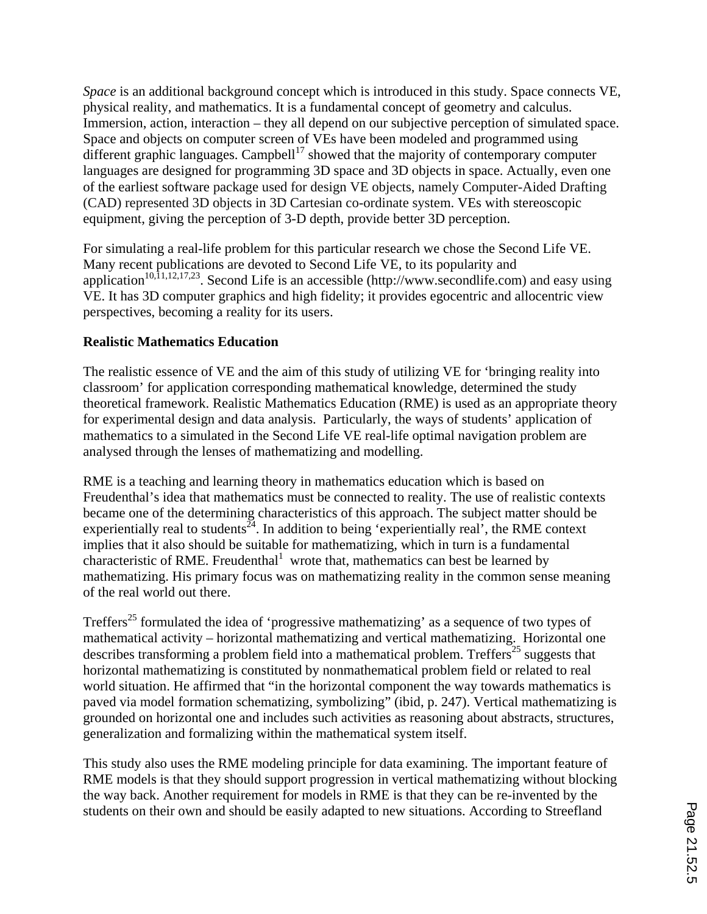*Space* is an additional background concept which is introduced in this study. Space connects VE, physical reality, and mathematics. It is a fundamental concept of geometry and calculus. Immersion, action, interaction – they all depend on our subjective perception of simulated space. Space and objects on computer screen of VEs have been modeled and programmed using different graphic languages. Campbell<sup>17</sup> showed that the majority of contemporary computer languages are designed for programming 3D space and 3D objects in space. Actually, even one of the earliest software package used for design VE objects, namely Computer-Aided Drafting (CAD) represented 3D objects in 3D Cartesian co-ordinate system. VEs with stereoscopic equipment, giving the perception of 3-D depth, provide better 3D perception.

For simulating a real-life problem for this particular research we chose the Second Life VE. Many recent publications are devoted to Second Life VE, to its popularity and application<sup>10,11,12,17,23</sup>. Second Life is an accessible (http://www.secondlife.com) and easy using VE. It has 3D computer graphics and high fidelity; it provides egocentric and allocentric view perspectives, becoming a reality for its users.

## **Realistic Mathematics Education**

The realistic essence of VE and the aim of this study of utilizing VE for 'bringing reality into classroom' for application corresponding mathematical knowledge, determined the study theoretical framework. Realistic Mathematics Education (RME) is used as an appropriate theory for experimental design and data analysis. Particularly, the ways of students' application of mathematics to a simulated in the Second Life VE real-life optimal navigation problem are analysed through the lenses of mathematizing and modelling.

RME is a teaching and learning theory in mathematics education which is based on Freudenthal's idea that mathematics must be connected to reality. The use of realistic contexts became one of the determining characteristics of this approach. The subject matter should be experientially real to students  $\frac{34}{4}$ . In addition to being 'experientially real', the RME context implies that it also should be suitable for mathematizing, which in turn is a fundamental characteristic of RME. Freudenthal<sup>1</sup> wrote that, mathematics can best be learned by mathematizing. His primary focus was on mathematizing reality in the common sense meaning of the real world out there.

Treffers<sup>25</sup> formulated the idea of 'progressive mathematizing' as a sequence of two types of mathematical activity – horizontal mathematizing and vertical mathematizing. Horizontal one describes transforming a problem field into a mathematical problem. Treffers<sup>25</sup> suggests that horizontal mathematizing is constituted by nonmathematical problem field or related to real world situation. He affirmed that "in the horizontal component the way towards mathematics is paved via model formation schematizing, symbolizing" (ibid, p. 247). Vertical mathematizing is grounded on horizontal one and includes such activities as reasoning about abstracts, structures, generalization and formalizing within the mathematical system itself.

This study also uses the RME modeling principle for data examining. The important feature of RME models is that they should support progression in vertical mathematizing without blocking the way back. Another requirement for models in RME is that they can be re-invented by the students on their own and should be easily adapted to new situations. According to Streefland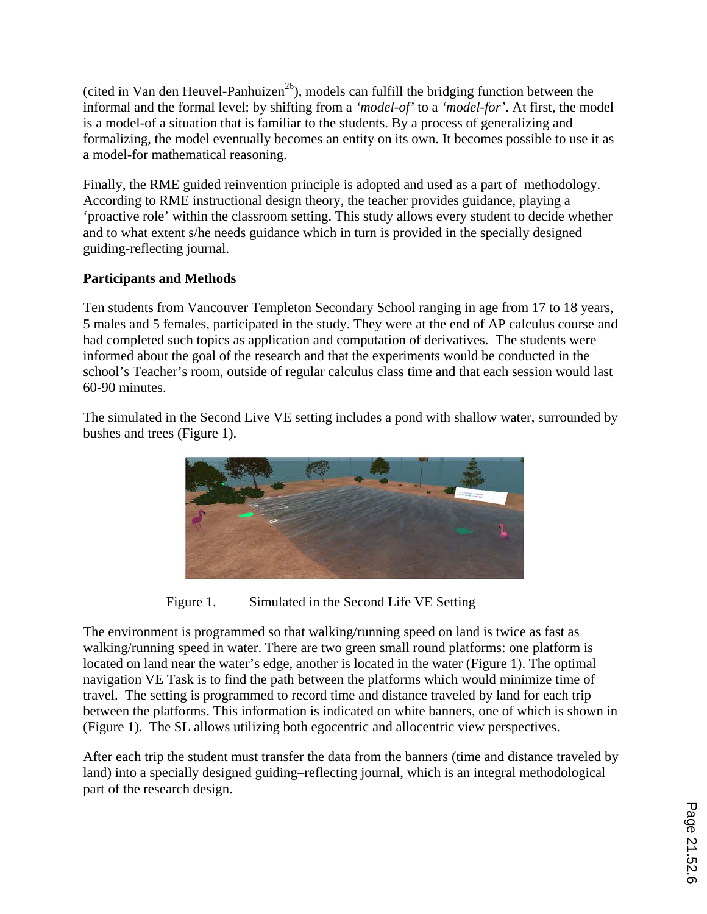(cited in Van den Heuvel-Panhuizen $^{26}$ ), models can fulfill the bridging function between the informal and the formal level: by shifting from a *'model-of'* to a *'model-for'*. At first, the model is a model-of a situation that is familiar to the students. By a process of generalizing and formalizing, the model eventually becomes an entity on its own. It becomes possible to use it as a model-for mathematical reasoning.

Finally, the RME guided reinvention principle is adopted and used as a part of methodology. According to RME instructional design theory, the teacher provides guidance, playing a 'proactive role' within the classroom setting. This study allows every student to decide whether and to what extent s/he needs guidance which in turn is provided in the specially designed guiding-reflecting journal.

## **Participants and Methods**

Ten students from Vancouver Templeton Secondary School ranging in age from 17 to 18 years, 5 males and 5 females, participated in the study. They were at the end of AP calculus course and had completed such topics as application and computation of derivatives. The students were informed about the goal of the research and that the experiments would be conducted in the school's Teacher's room, outside of regular calculus class time and that each session would last 60-90 minutes.

The simulated in the Second Live VE setting includes a pond with shallow water, surrounded by bushes and trees (Figure 1).



Figure 1. Simulated in the Second Life VE Setting

The environment is programmed so that walking/running speed on land is twice as fast as walking/running speed in water. There are two green small round platforms: one platform is located on land near the water's edge, another is located in the water (Figure 1). The optimal navigation VE Task is to find the path between the platforms which would minimize time of travel. The setting is programmed to record time and distance traveled by land for each trip between the platforms. This information is indicated on white banners, one of which is shown in (Figure 1). The SL allows utilizing both egocentric and allocentric view perspectives.

After each trip the student must transfer the data from the banners (time and distance traveled by land) into a specially designed guiding–reflecting journal, which is an integral methodological part of the research design.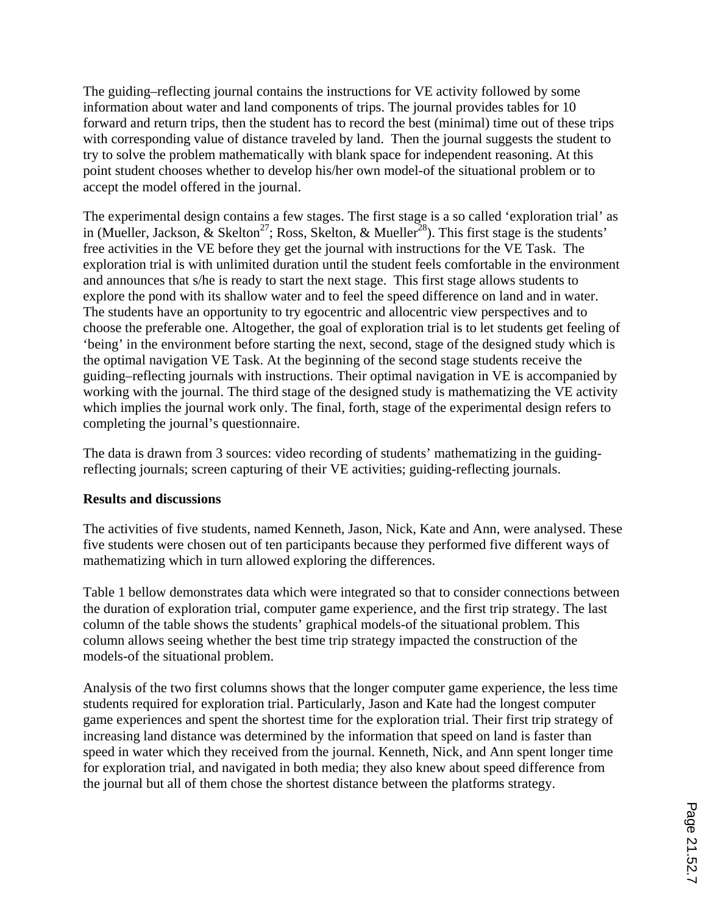The guiding–reflecting journal contains the instructions for VE activity followed by some information about water and land components of trips. The journal provides tables for 10 forward and return trips, then the student has to record the best (minimal) time out of these trips with corresponding value of distance traveled by land. Then the journal suggests the student to try to solve the problem mathematically with blank space for independent reasoning. At this point student chooses whether to develop his/her own model-of the situational problem or to accept the model offered in the journal.

The experimental design contains a few stages. The first stage is a so called 'exploration trial' as in (Mueller, Jackson,  $\&$  Skelton<sup>27</sup>; Ross, Skelton,  $\&$  Mueller<sup>28</sup>). This first stage is the students' free activities in the VE before they get the journal with instructions for the VE Task. The exploration trial is with unlimited duration until the student feels comfortable in the environment and announces that s/he is ready to start the next stage. This first stage allows students to explore the pond with its shallow water and to feel the speed difference on land and in water. The students have an opportunity to try egocentric and allocentric view perspectives and to choose the preferable one. Altogether, the goal of exploration trial is to let students get feeling of 'being' in the environment before starting the next, second, stage of the designed study which is the optimal navigation VE Task. At the beginning of the second stage students receive the guiding–reflecting journals with instructions. Their optimal navigation in VE is accompanied by working with the journal. The third stage of the designed study is mathematizing the VE activity which implies the journal work only. The final, forth, stage of the experimental design refers to completing the journal's questionnaire.

The data is drawn from 3 sources: video recording of students' mathematizing in the guidingreflecting journals; screen capturing of their VE activities; guiding-reflecting journals.

## **Results and discussions**

The activities of five students, named Kenneth, Jason, Nick, Kate and Ann, were analysed. These five students were chosen out of ten participants because they performed five different ways of mathematizing which in turn allowed exploring the differences.

Table 1 bellow demonstrates data which were integrated so that to consider connections between the duration of exploration trial, computer game experience, and the first trip strategy. The last column of the table shows the students' graphical models-of the situational problem. This column allows seeing whether the best time trip strategy impacted the construction of the models-of the situational problem.

Analysis of the two first columns shows that the longer computer game experience, the less time students required for exploration trial. Particularly, Jason and Kate had the longest computer game experiences and spent the shortest time for the exploration trial. Their first trip strategy of increasing land distance was determined by the information that speed on land is faster than speed in water which they received from the journal. Kenneth, Nick, and Ann spent longer time for exploration trial, and navigated in both media; they also knew about speed difference from the journal but all of them chose the shortest distance between the platforms strategy.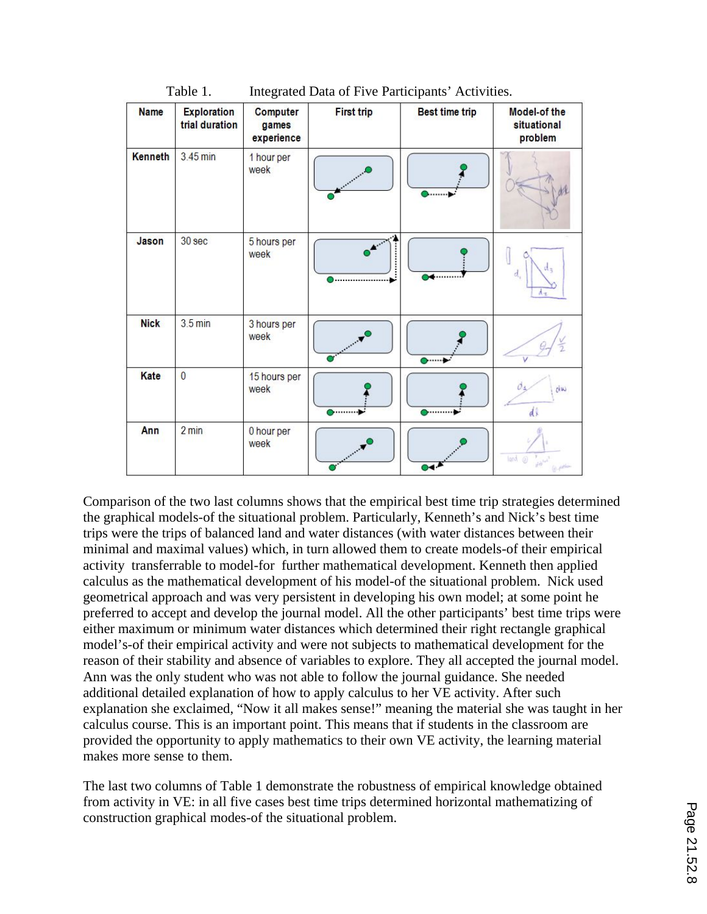| <b>Name</b>    | <b>Exploration</b><br>trial duration | Computer<br>games<br>experience | <b>First trip</b> | <b>Best time trip</b> | Model-of the<br>situational<br>problem                                           |
|----------------|--------------------------------------|---------------------------------|-------------------|-----------------------|----------------------------------------------------------------------------------|
| <b>Kenneth</b> | 3.45 min                             | 1 hour per<br>week              |                   |                       |                                                                                  |
| Jason          | 30 sec                               | 5 hours per<br>week             |                   |                       | d<br>Λ÷                                                                          |
| <b>Nick</b>    | $3.5 \text{ min}$                    | 3 hours per<br>week             |                   | ◎……                   |                                                                                  |
| Kate           | $\overline{0}$                       | 15 hours per<br>week            | <b>o………</b>       | <b>D</b> ……….         | dw<br>d                                                                          |
| Ann            | 2 min                                | 0 hour per<br>week              |                   |                       | land <sub>(0)</sub><br>$\delta \hat{\theta}^{\dagger \hat{\sigma} \hat{\theta}}$ |

Table 1. Integrated Data of Five Participants' Activities.

Comparison of the two last columns shows that the empirical best time trip strategies determined the graphical models-of the situational problem. Particularly, Kenneth's and Nick's best time trips were the trips of balanced land and water distances (with water distances between their minimal and maximal values) which, in turn allowed them to create models-of their empirical activity transferrable to model-for further mathematical development. Kenneth then applied calculus as the mathematical development of his model-of the situational problem. Nick used geometrical approach and was very persistent in developing his own model; at some point he preferred to accept and develop the journal model. All the other participants' best time trips were either maximum or minimum water distances which determined their right rectangle graphical model's-of their empirical activity and were not subjects to mathematical development for the reason of their stability and absence of variables to explore. They all accepted the journal model. Ann was the only student who was not able to follow the journal guidance. She needed additional detailed explanation of how to apply calculus to her VE activity. After such explanation she exclaimed, "Now it all makes sense!" meaning the material she was taught in her calculus course. This is an important point. This means that if students in the classroom are provided the opportunity to apply mathematics to their own VE activity, the learning material makes more sense to them.

The last two columns of Table 1 demonstrate the robustness of empirical knowledge obtained from activity in VE: in all five cases best time trips determined horizontal mathematizing of construction graphical modes-of the situational problem.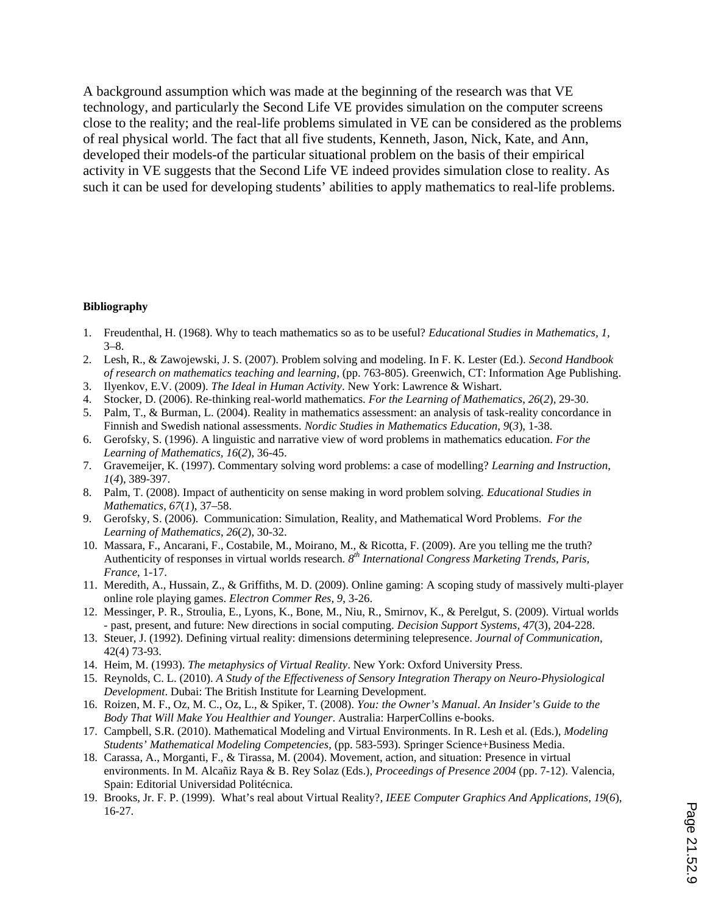A background assumption which was made at the beginning of the research was that VE technology, and particularly the Second Life VE provides simulation on the computer screens close to the reality; and the real-life problems simulated in VE can be considered as the problems of real physical world. The fact that all five students, Kenneth, Jason, Nick, Kate, and Ann, developed their models-of the particular situational problem on the basis of their empirical activity in VE suggests that the Second Life VE indeed provides simulation close to reality. As such it can be used for developing students' abilities to apply mathematics to real-life problems.

#### **Bibliography**

- 1. Freudenthal, H. (1968). Why to teach mathematics so as to be useful? *Educational Studies in Mathematics, 1*, 3–8.
- 2. Lesh, R., & Zawojewski, J. S. (2007). Problem solving and modeling. In F. K. Lester (Ed.). *Second Handbook of research on mathematics teaching and learning*, (pp. 763-805). Greenwich, CT: Information Age Publishing.
- 3. Ilyenkov, E.V. (2009). *The Ideal in Human Activity*. New York: Lawrence & Wishart.
- 4. Stocker, D. (2006). Re-thinking real-world mathematics. *For the Learning of Mathematics*, *26*(*2*), 29-30.
- 5. Palm, T., & Burman, L. (2004). Reality in mathematics assessment: an analysis of task-reality concordance in Finnish and Swedish national assessments. *Nordic Studies in Mathematics Education*, *9*(*3*), 1-38.
- 6. Gerofsky, S. (1996). A linguistic and narrative view of word problems in mathematics education. *For the Learning of Mathematics, 16*(*2*), 36-45.
- 7. Gravemeijer, K. (1997). Commentary solving word problems: a case of modelling? *Learning and Instruction*, *1*(*4*), 389-397.
- 8. Palm, T. (2008). Impact of authenticity on sense making in word problem solving. *Educational Studies in Mathematics*, *67*(*1*), 37–58.
- 9. Gerofsky, S. (2006). Communication: Simulation, Reality, and Mathematical Word Problems. *For the Learning of Mathematics*, *26*(*2*), 30-32.
- 10. Massara, F., Ancarani, F., Costabile, M., Moirano, M., & Ricotta, F. (2009). Are you telling me the truth? Authenticity of responses in virtual worlds research. *8th International Congress Marketing Trends, Paris, France*, 1-17.
- 11. Meredith, A., Hussain, Z., & Griffiths, M. D. (2009). Online gaming: A scoping study of massively multi-player online role playing games. *Electron Commer Res, 9*, 3-26.
- 12. Messinger, P. R., Stroulia, E., Lyons, K., Bone, M., Niu, R., Smirnov, K., & Perelgut, S. (2009). Virtual worlds - past, present, and future: New directions in social computing. *Decision Support Systems, 47*(3), 204-228.
- 13. Steuer, J. (1992). Defining virtual reality: dimensions determining telepresence. *Journal of Communication*, 42(4) 73-93.
- 14. Heim, M. (1993). *The metaphysics of Virtual Reality*. New York: Oxford University Press.
- 15. Reynolds, C. L. (2010). *A Study of the Effectiveness of Sensory Integration Therapy on Neuro-Physiological Development*. Dubai: The British Institute for Learning Development.
- 16. Roizen, M. F., Oz, M. C., Oz, L., & Spiker, T. (2008). *You: the Owner's Manual*. *An Insider's Guide to the Body That Will Make You Healthier and Younger*. Australia: HarperCollins e-books.
- 17. Campbell, S.R. (2010). Mathematical Modeling and Virtual Environments. In R. Lesh et al. (Eds.), *Modeling Students' Mathematical Modeling Competencies*, (pp. 583-593). Springer Science+Business Media.
- 18. Carassa, A., Morganti, F., & Tirassa, M. (2004). Movement, action, and situation: Presence in virtual environments. In M. Alcañiz Raya & B. Rey Solaz (Eds.), *Proceedings of Presence 2004* (pp. 7-12). Valencia, Spain: Editorial Universidad Politécnica.
- 19. Brooks, Jr. F. P. (1999). What's real about Virtual Reality?, *IEEE Computer Graphics And Applications*, *19*(*6*), 16-27.